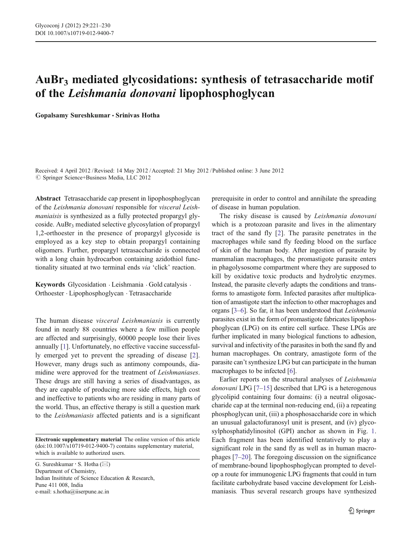## AuBr3 mediated glycosidations: synthesis of tetrasaccharide motif of the Leishmania donovani lipophosphoglycan

Gopalsamy Sureshkumar · Srinivas Hotha

Received: 4 April 2012 /Revised: 14 May 2012 /Accepted: 21 May 2012 / Published online: 3 June 2012  $©$  Springer Science+Business Media, LLC 2012

Abstract Tetrasaccharide cap present in lipophosphoglycan of the Leishmania donovani responsible for visceral Leishmaniaisis is synthesized as a fully protected propargyl glycoside. AuBr<sub>3</sub> mediated selective glycosylation of propargyl 1,2-orthoester in the presence of propargyl glycoside is employed as a key step to obtain propargyl containing oligomers. Further, propargyl tetrasaccharide is connected with a long chain hydrocarbon containing azidothiol functionality situated at two terminal ends via 'click' reaction.

Keywords Glycosidation . Leishmania . Gold catalysis . Orthoester . Lipophosphoglycan . Tetrasaccharide

The human disease visceral Leishmaniasis is currently found in nearly 88 countries where a few million people are affected and surprisingly, 60000 people lose their lives annually [[1\]](#page-7-0). Unfortunately, no effective vaccine successfully emerged yet to prevent the spreading of disease [\[2](#page-7-0)]. However, many drugs such as antimony compounds, diamidine were approved for the treatment of Leishmaniases. These drugs are still having a series of disadvantages, as they are capable of producing more side effects, high cost and ineffective to patients who are residing in many parts of the world. Thus, an effective therapy is still a question mark to the Leishmaniasis affected patients and is a significant

Electronic supplementary material The online version of this article (doi:[10.1007/s10719-012-9400-7](http://dx.doi.org/10.1007/s10719-012-9400-7)) contains supplementary material, which is available to authorized users.

G. Sureshkumar  $\cdot$  S. Hotha ( $\boxtimes$ ) Department of Chemistry, Indian Insititute of Science Education & Research, Pune 411 008, India e-mail: s.hotha@iiserpune.ac.in

prerequisite in order to control and annihilate the spreading of disease in human population.

The risky disease is caused by Leishmania donovani which is a protozoan parasite and lives in the alimentary tract of the sand fly [\[2](#page-7-0)]. The parasite penetrates in the macrophages while sand fly feeding blood on the surface of skin of the human body. After ingestion of parasite by mammalian macrophages, the promastigote parasite enters in phagolysosome compartment where they are supposed to kill by oxidative toxic products and hydrolytic enzymes. Instead, the parasite cleverly adapts the conditions and transforms to amastigote form. Infected parasites after multiplication of amastigote start the infection to other macrophages and organs [\[3](#page-7-0)–[6\]](#page-7-0). So far, it has been understood that Leishmania parasites exist in the form of promastigote fabricates lipophosphoglycan (LPG) on its entire cell surface. These LPGs are further implicated in many biological functions to adhesion, survival and infectivity of the parasites in both the sand fly and human macrophages. On contrary, amastigote form of the parasite can't synthesize LPG but can participate in the human macrophages to be infected [[6\]](#page-7-0).

Earlier reports on the structural analyses of Leishmania donovani LPG [\[7](#page-7-0)–[15](#page-8-0)] described that LPG is a heterogenous glycolipid containing four domains: (i) a neutral oligosaccharide cap at the terminal non-reducing end, (ii) a repeating phosphoglycan unit, (iii) a phosphosaccharide core in which an unusual galactofuranosyl unit is present, and (iv) glycosylphosphatidylinositol (GPI) anchor as shown in Fig. [1.](#page-1-0) Each fragment has been identified tentatively to play a significant role in the sand fly as well as in human macrophages [\[7](#page-7-0)–[20](#page-8-0)]. The foregoing discussion on the significance of membrane-bound lipophosphoglycan prompted to develop a route for immunogenic LPG fragments that could in turn facilitate carbohydrate based vaccine development for Leishmaniasis. Thus several research groups have synthesized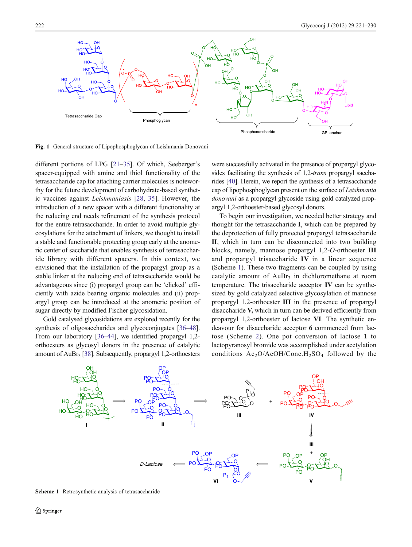<span id="page-1-0"></span>

Fig. 1 General structure of Lipophosphoglycan of Leishmania Donovani

different portions of LPG [\[21](#page-8-0)–[35](#page-8-0)]. Of which, Seeberger's spacer-equipped with amine and thiol functionality of the tetrasaccharide cap for attaching carrier molecules is noteworthy for the future development of carbohydrate-based synthetic vaccines against Leishmaniasis [\[28](#page-8-0), [35](#page-8-0)]. However, the introduction of a new spacer with a different functionality at the reducing end needs refinement of the synthesis protocol for the entire tetrasaccharide. In order to avoid multiple glycosylations for the attachment of linkers, we thought to install a stable and functionable protecting group early at the anomeric center of saccharide that enables synthesis of tetrasaccharide library with different spacers. In this context, we envisioned that the installation of the propargyl group as a stable linker at the reducing end of tetrasaccharide would be advantageous since (i) propargyl group can be 'clicked' efficiently with azide bearing organic molecules and (ii) propargyl group can be introduced at the anomeric position of sugar directly by modified Fischer glycosidation.

Gold catalysed glycosidations are explored recently for the synthesis of oligosaccharides and glycoconjugates [\[36](#page-8-0)–[48\]](#page-8-0). From our laboratory [[36](#page-8-0)–[44](#page-8-0)], we identified propargyl 1,2 orthoesters as glycosyl donors in the presence of catalytic amount of  $AuBr<sub>3</sub>$  [\[38](#page-8-0)]. Subsequently, propargyl 1,2-orthoesters were successfully activated in the presence of propargyl glycosides facilitating the synthesis of 1,2-*trans* propargyl saccharides [\[40\]](#page-8-0). Herein, we report the synthesis of a tetrasaccharide cap of lipophosphoglycan present on the surface of Leishmania donovani as a propargyl glycoside using gold catalyzed propargyl 1,2-orthoester-based glycosyl donors.

To begin our investigation, we needed better strategy and thought for the tetrasaccharide I, which can be prepared by the deprotection of fully protected propargyl tetrasaccharide II, which in turn can be disconnected into two building blocks, namely, mannose propargyl 1,2-O-orthoester III and propargyl trisaccharide IV in a linear sequence (Scheme 1). These two fragments can be coupled by using catalytic amount of  $AuBr<sub>3</sub>$  in dichloromethane at room temperature. The trisaccharide acceptor IV can be synthesized by gold catalyzed selective glycosylation of mannose propargyl 1,2-orthoester III in the presence of propargyl disaccharide V, which in turn can be derived efficiently from propargyl 1,2-orthoester of lactose VI. The synthetic endeavour for disaccharide acceptor 6 commenced from lactose (Scheme [2\)](#page-2-0). One pot conversion of lactose 1 to lactopyranosyl bromide was accomplished under acetylation conditions  $Ac_2O/AcOH/Conc.H_2SO_4$  followed by the



Scheme 1 Retrosynthetic analysis of tetrasaccharide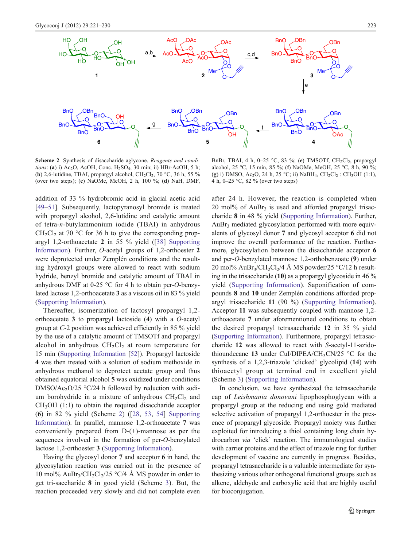<span id="page-2-0"></span>

Scheme 2 Synthesis of disaccharide aglycone. Reagents and conditions: (a) i) Ac<sub>2</sub>O, AcOH, Conc. H<sub>2</sub>SO<sub>4</sub>, 30 min; ii) HBr-AcOH, 5 h; (b) 2,6-lutidine, TBAI, propargyl alcohol, CH<sub>2</sub>Cl<sub>2</sub>, 70 °C, 36 h, 55 % (over two steps); (c) NaOMe, MeOH, 2 h, 100 %; (d) NaH, DMF,

BnBr, TBAI, 4 h,  $0-25$  °C, 83 %; (e) TMSOTf, CH<sub>2</sub>Cl<sub>2</sub>, propargyl alcohol, 25 °C, 15 min, 85 %; (f) NaOMe, MeOH, 25 °C, 8 h, 90 %; (g) i) DMSO, Ac<sub>2</sub>O, 24 h, 25 °C; ii) NaBH<sub>4</sub>, CH<sub>2</sub>Cl<sub>2</sub> : CH<sub>3</sub>OH (1:1), 4 h, 0–25 °C, 82 % (over two steps)

addition of 33 % hydrobromic acid in glacial acetic acid [\[49](#page-8-0)–[51](#page-9-0)]. Subsequently, lactopyranosyl bromide is treated with propargyl alcohol, 2,6-lutidine and catalytic amount of tetra-n-butylammonium iodide (TBAI) in anhydrous  $CH_2Cl_2$  at 70 °C for 36 h to give the corresponding propargyl 1,2-orthoacetate 2 in 55 % yield ([\[38\]](#page-8-0) Supporting Information). Further, O-acetyl groups of 1,2-orthoester 2 were deprotected under Zemplén conditions and the resulting hydroxyl groups were allowed to react with sodium hydride, benzyl bromide and catalytic amount of TBAI in anhydrous DMF at 0-25 °C for 4 h to obtain per-O-benzylated lactose 1,2-orthoacetate 3 as a viscous oil in 83 % yield (Supporting Information).

Thereafter, isomerization of lactosyl propargyl 1,2 orthoacetate 3 to propargyl lactoside (4) with a O-acetyl group at C-2 position was achieved efficiently in 85 % yield by the use of a catalytic amount of TMSOTf and propargyl alcohol in anhydrous  $CH<sub>2</sub>Cl<sub>2</sub>$  at room temperature for 15 min (Supporting Information [[52\]](#page-9-0)). Propargyl lactoside 4 was then treated with a solution of sodium methoxide in anhydrous methanol to deprotect acetate group and thus obtained equatorial alcohol 5 was oxidized under conditions DMSO/Ac<sub>2</sub>O/25  $\degree$ C/24 h followed by reduction with sodium borohydride in a mixture of anhydrous  $CH<sub>2</sub>Cl<sub>2</sub>$  and  $CH<sub>3</sub>OH$  (1:1) to obtain the required disaccharide acceptor (6) in 82 % yield (Scheme 2) ([[28,](#page-8-0) [53](#page-9-0), [54](#page-9-0)] Supporting Information). In parallel, mannose 1,2-orthoacetate 7 was conveniently prepared from D-(+)-mannose as per the sequences involved in the formation of per-O-benzylated lactose 1,2-orthoester 3 (Supporting Information).

Having the glycosyl donor 7 and acceptor 6 in hand, the glycosylation reaction was carried out in the presence of 10 mol%  $AuBr<sub>3</sub>/CH<sub>2</sub>Cl<sub>2</sub>/25 °C/4 Å MS powder in order to$ get tri-saccharide 8 in good yield (Scheme [3](#page-3-0)). But, the reaction proceeded very slowly and did not complete even

after 24 h. However, the reaction is completed when  $20 \text{ mol}$ % of AuBr<sub>3</sub> is used and afforded propargyl trisaccharide 8 in 48 % yield (Supporting Information). Further,  $AuBr<sub>3</sub>$  mediated glycosylation performed with more equivalents of glycosyl donor 7 and glycosyl acceptor 6 did not improve the overall performance of the reaction. Furthermore, glycosylation between the disaccharide acceptor 6 and per-O-benzylated mannose 1,2-orthobenzoate (9) under 20 mol% AuBr<sub>3</sub>/CH<sub>2</sub>Cl<sub>2</sub>/4 Å MS powder/25 °C/12 h resulting in the trisaccharide (10) as a propargyl glycoside in 46 % yield (Supporting Information). Saponification of compounds 8 and 10 under Zemplén conditions afforded propargyl trisaccharide 11 (90 %) (Supporting Information). Acceptor 11 was subsequently coupled with mannose 1,2 orthoacetate 7 under aforementioned conditions to obtain the desired propargyl tetrasaccharide 12 in 35 % yield (Supporting Information). Furthermore, propargyl tetrasaccharide 12 was allowed to react with S-acetyl-11-azidothioundecane 13 under CuI/DIPEA/CH<sub>3</sub>CN/25  $\degree$ C for the synthesis of a 1,2,3-triazole 'clicked' glycolipid (14) with thioacetyl group at terminal end in excellent yield (Scheme [3\)](#page-3-0) (Supporting Information).

In conclusion, we have synthesized the tetrasaccharide cap of Leishmania donovani lipophosphoglycan with a propargyl group at the reducing end using gold mediated selective activation of propargyl 1,2-orthoester in the presence of propargyl glycoside. Propargyl moiety was further exploited for introducing a thiol containing long chain hydrocarbon via 'click' reaction. The immunological studies with carrier proteins and the effect of triazole ring for further development of vaccine are currently in progress. Besides, propargyl tetrasaccharide is a valuable intermediate for synthesizing various other orthogonal functional groups such as alkene, aldehyde and carboxylic acid that are highly useful for bioconjugation.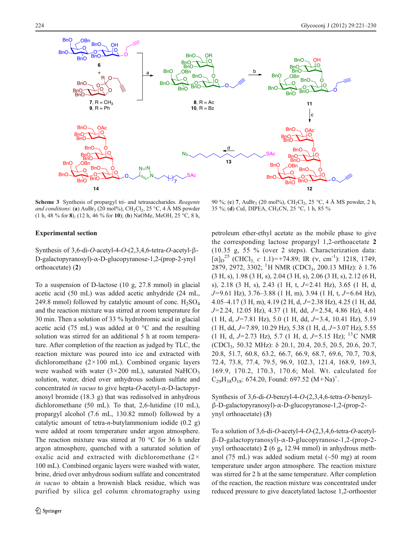<span id="page-3-0"></span>

Scheme 3 Synthesis of propargyl tri- and tetrasaccharides. Reagents and conditions: (a)  $\text{AuBr}_3$  (20 mol%),  $\text{CH}_2\text{Cl}_2$ , 25 °C, 4 Å MS powder (1 h, 48 % for 8), (12 h, 46 % for 10); (b) NaOMe, MeOH, 25 °C, 8 h,

## Experimental section

Synthesis of 3,6-di-O-acetyl-4-O-(2,3,4,6-tetra-O-acetyl-β-D-galactopyranosyl)-α-D-glucopyranose-1,2-(prop-2-ynyl orthoacetate) (2)

To a suspension of D-lactose (10 g, 27.8 mmol) in glacial acetic acid (50 mL) was added acetic anhydride (24 mL, 249.8 mmol) followed by catalytic amount of conc.  $H_2SO_4$ and the reaction mixture was stirred at room temperature for 30 min. Then a solution of 33 % hydrobromic acid in glacial acetic acid (75 mL) was added at  $0^{\circ}$ C and the resulting solution was stirred for an additional 5 h at room temperature. After completion of the reaction as judged by TLC, the reaction mixture was poured into ice and extracted with dichloromethane  $(2 \times 100 \text{ mL})$ . Combined organic layers were washed with water  $(3 \times 200 \text{ mL})$ , saturated NaHCO<sub>3</sub> solution, water, dried over anhydrous sodium sulfate and concentrated in vacuo to give hepta-O-acetyl-α-D-lactopyranosyl bromide (18.3 g) that was redissolved in anhydrous dichloromethane (50 mL). To that, 2,6-lutidine (10 mL), propargyl alcohol (7.6 mL, 130.82 mmol) followed by a catalytic amount of tetra-*n*-butylammonium iodide  $(0.2 \text{ g})$ were added at room temperature under argon atmosphere. The reaction mixture was stirred at 70  $\degree$ C for 36 h under argon atmosphere, quenched with a saturated solution of oxalic acid and extracted with dichloromethane  $(2 \times$ 100 mL). Combined organic layers were washed with water, brine, dried over anhydrous sodium sulfate and concentrated in vacuo to obtain a brownish black residue, which was purified by silica gel column chromatography using

90 %; (c) 7, AuBr<sub>3</sub> (20 mol%), CH<sub>2</sub>Cl<sub>2</sub>, 25 °C, 4 Å MS powder, 2 h, 35 %; (d) CuI, DIPEA, CH3CN, 25 °C, 1 h, 85 %

petroleum ether-ethyl acetate as the mobile phase to give the corresponding lactose propargyl 1,2-orthoacetate 2 (10.35 g, 55 % (over 2 steps). Characterization data:  $[\alpha]_{D}^{25}$  (CHCl<sub>3, c</sub> 1.1)=+74.89; IR (v, cm<sup>-1</sup>): 1218, 1749, 2879, 2972, 3302; <sup>1</sup>H NMR (CDCl<sub>3</sub>, 200.13 MHz): δ 1.76 (3 H, s), 1.98 (3 H, s), 2.04 (3 H, s), 2.06 (3 H, s), 2.12 (6 H, s), 2.18 (3 H, s), 2.43 (1 H, t,  $J=2.41$  Hz), 3.65 (1 H, d,  $J=9.61$  Hz), 3.76–3.88 (1 H, m), 3.94 (1 H, t,  $J=6.64$  Hz), 4.05–4.17 (3 H, m), 4.19 (2 H, d,  $J=2.38$  Hz), 4.25 (1 H, dd,  $J=2.24$ , 12.05 Hz), 4.37 (1 H, dd,  $J=2.54$ , 4.86 Hz), 4.61  $(1 \text{ H}, \text{ d}, J=7.81 \text{ Hz})$ , 5.0  $(1 \text{ H}, \text{ dd}, J=3.4, 10.41 \text{ Hz})$ , 5.19  $(1 \text{ H}, \text{dd}, J=7.89, 10.29 \text{ Hz})$ , 5.38  $(1 \text{ H}, \text{d}, J=3.07 \text{ Hz})$ , 5.55 (1 H, d, J=2.73 Hz), 5.7 (1 H, d, J=5.15 Hz); <sup>13</sup>C NMR (CDCl3, 50.32 MHz): δ 20.1, 20.4, 20.5, 20.5, 20.6, 20.7, 20.8, 51.7, 60.8, 63.2, 66.7, 66.9, 68.7, 69.6, 70.7, 70.8, 72.4, 73.8, 77.4, 79.5, 96.9, 102.3, 121.4, 168.9, 169.3, 169.9, 170.2, 170.3, 170.6; Mol. Wt. calculated for  $C_{29}H_{38}O_{18}$ : 674.20, Found: 697.52 (M+Na)<sup>+</sup>.

Synthesis of 3,6-di-O-benzyl-4-O-(2,3,4,6-tetra-O-benzylβ-D-galactopyranosyl)-α-D-glucopyranose-1,2-(prop-2 ynyl orthoacetate) (3)

To a solution of 3,6-di-O-acetyl-4-O-(2,3,4,6-tetra-O-acetylβ-D-galactopyranosyl)-α-D-glucopyranose-1,2-(prop-2 ynyl orthoacetate) 2 (6 g, 12.94 mmol) in anhydrous methanol (75 mL) was added sodium metal  $(\sim 50 \text{ mg})$  at room temperature under argon atmosphere. The reaction mixture was stirred for 2 h at the same temperature. After completion of the reaction, the reaction mixture was concentrated under reduced pressure to give deacetylated lactose 1,2-orthoester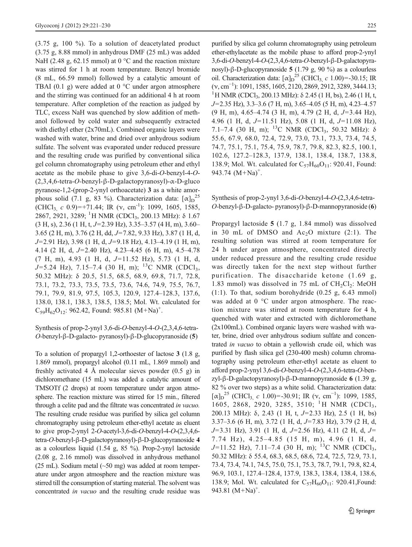(3.75 g, 100 %). To a solution of deacetylated product (3.75 g, 8.88 mmol) in anhydrous DMF (25 mL) was added NaH (2.48 g, 62.15 mmol) at  $0^{\circ}$ C and the reaction mixture was stirred for 1 h at room temperature. Benzyl bromide (8 mL, 66.59 mmol) followed by a catalytic amount of TBAI (0.1 g) were added at 0 °C under argon atmosphere and the stirring was continued for an additional 4 h at room temperature. After completion of the reaction as judged by TLC, excess NaH was quenched by slow addition of methanol followed by cold water and subsequently extracted with diethyl ether (2x70mL). Combined organic layers were washed with water, brine and dried over anhydrous sodium sulfate. The solvent was evaporated under reduced pressure and the resulting crude was purified by conventional silica gel column chromatography using petroleum ether and ethyl acetate as the mobile phase to give 3,6-di-O-benzyl-4-O- (2,3,4,6-tetra-O-benzyl-β-D-galactopyranosyl)-α-D-gluco pyranose-1,2-(prop-2-ynyl orthoacetate) 3 as a white amorphous solid (7.1 g, 83 %). Characterization data:  $[\alpha]_D^{25}$ (CHCl<sub>3, c</sub> 0.9)=+71.44; IR ( $v$ , cm<sup>-1</sup>): 1099, 1605, 1585, 2867, 2921, 3289; <sup>1</sup>H NMR (CDCl<sub>3</sub>, 200.13 MHz): δ 1.67  $(3 H, s)$ , 2.36 (1 H, t, J=2.39 Hz), 3.35–3.57 (4 H, m), 3.60– 3.65 (2 H, m), 3.76 (2 H, dd, J=7.82, 9.33 Hz), 3.87 (1 H, d,  $J=2.91$  Hz), 3.98 (1 H, d,  $J=9.18$  Hz), 4.13–4.19 (1 H, m), 4.14 (2 H, d,  $J=2.40$  Hz), 4.23–4.45 (6 H, m), 4.5–4.78  $(7 \text{ H}, \text{ m})$ , 4.93 (1 H, d,  $J=11.52 \text{ Hz}$ ), 5.73 (1 H, d,  $J=5.24$  Hz), 7.15–7.4 (30 H, m); <sup>13</sup>C NMR (CDCl<sub>3</sub>, 50.32 MHz): δ 20.5, 51.5, 68.5, 68.9, 69.8, 71.7, 72.8, 73.1, 73.2, 73.3, 73.5, 73.5, 73.6, 74.6, 74.9, 75.5, 76.7, 79.1, 79.9, 81.9, 97.5, 105.3, 120.9, 127.4–128.3, 137.6, 138.0, 138.1, 138.3, 138.5, 138.5; Mol. Wt. calculated for  $C_{59}H_{62}O_{12}$ : 962.42, Found: 985.81 (M+Na)<sup>+</sup>.

Synthesis of prop-2-ynyl 3,6-di-O-benzyl-4-O-(2,3,4,6-tetra-O-benzyl-β-D-galacto- pyranosyl)-β-D-glucopyranoside (5)

To a solution of propargyl 1,2-orthoester of lactose 3 (1.8 g, 1.869 mmol), propargyl alcohol (0.11 mL, 1.869 mmol) and freshly activated 4 Å molecular sieves powder (0.5 g) in dichloromethane (15 mL) was added a catalytic amount of TMSOTf (2 drops) at room temperature under argon atmosphere. The reaction mixture was stirred for 15 min., filtered through a celite pad and the filtrate was concentrated in vacuo. The resulting crude residue was purified by silica gel column chromatography using petroleum ether-ethyl acetate as eluent to give prop-2-ynyl 2-O-acetyl-3,6-di-O-benzyl-4-O-(2,3,4,6 tetra-O-benzyl-β-D-galactopyranosyl)-β-D-glucopyranoside 4 as a colourless liquid (1.54 g, 85 %). Prop-2-ynyl lactoside (2.08 g, 2.16 mmol) was dissolved in anhydrous methanol (25 mL). Sodium metal (~50 mg) was added at room temperature under argon atmosphere and the reaction mixture was stirred till the consumption of starting material. The solvent was concentrated in vacuo and the resulting crude residue was purified by silica gel column chromatography using petroleum ether-ethylacetate as the mobile phase to afford prop-2-ynyl 3,6-di-O-benzyl-4-O-(2,3,4,6-tetra-O-benzyl-β-D-galactopyranosyl)-β-D-glucopyranoside 5 (1.79 g, 90 %) as a colourless oil. Characterization data:  $[\alpha]_D^{25}$  (CHCl<sub>3, *c* 1.00)=-30.15; IR</sub>  $(v, \text{cm}^{-1})$ : 1091, 1585, 1605, 2120, 2869, 2912, 3289, 3444.13;<br><sup>1</sup>H NMP (CDCL 200.13 MHz): § 2.45 (1 H bs) 2.46 (1 H t <sup>1</sup>H NMR (CDCl<sub>3</sub>, 200.13 MHz): δ 2.45 (1 H, bs), 2.46 (1 H, t, J=2.35 Hz), 3.3–3.6 (7 H, m), 3.65–4.05 (5 H, m), 4.23–4.57  $(9 \text{ H, m}), 4.65-4.74 \text{ (3 H, m)}, 4.79 \text{ (2 H, d, } J=3.44 \text{ Hz}),$ 4.96 (1 H, d,  $J=11.51$  Hz), 5.08 (1 H, d,  $J=11.08$  Hz), 7.1–7.4 (30 H, m); <sup>13</sup>C NMR (CDCl<sub>3</sub>, 50.32 MHz): δ 55.6, 67.9, 68.0, 72.4, 72.9, 73.0, 73.1, 73.3, 73.4, 74.5, 74.7, 75.1, 75.1, 75.4, 75.9, 78.7, 79.8, 82.3, 82.5, 100.1, 102.6, 127.2–128.3, 137.9, 138.1, 138.4, 138.7, 138.8, 138.9; Mol. Wt. calculated for  $C_{57}H_{60}O_{11}$ : 920.41, Found: 943.74  $(M+Na)^+$ .

Synthesis of prop-2-ynyl 3,6-di-O-benzyl-4-O-(2,3,4,6-tetra-O-benzyl-β-D-galacto- pyranosyl)-β-D-mannopyranoside (6)

Propargyl lactoside 5 (1.7 g, 1.84 mmol) was dissolved in 30 mL of DMSO and  $Ac_2O$  mixture (2:1). The resulting solution was stirred at room temperature for 24 h under argon atmosphere, concentrated directly under reduced pressure and the resulting crude residue was directly taken for the next step without further purification. The disaccharide ketone (1.69 g, 1.83 mmol) was dissolved in 75 mL of  $CH_2Cl_2$ : MeOH (1:1). To that, sodium borohydride (0.25 g, 6.43 mmol) was added at 0 °C under argon atmosphere. The reaction mixture was stirred at room temperature for 4 h, quenched with water and extracted with dichloromethane (2x100mL). Combined organic layers were washed with water, brine, dried over anhydrous sodium sulfate and concentrated in vacuo to obtain a yellowish crude oil, which was purified by flash silica gel (230-400 mesh) column chromatography using petroleum ether-ethyl acetate as eluent to afford prop-2-ynyl 3,6-di-O-benzyl-4-O-(2,3,4,6-tetra-O-benzyl-β-D-galactopyranosyl)-β-D-mannopyranoside 6 (1.39 g, 82 % over two steps) as a white solid. Characterization data:  $[\alpha]_{D}^{25}$  (CHCl<sub>3, c</sub> 1.00)=-30.91; IR ( $\nu$ , cm<sup>-1</sup>): 1099, 1585, 1605, 2868, 2920, 3285, 3510; <sup>1</sup>H NMR (CDCl<sub>3</sub>, 200.13 MHz):  $\delta$ , 2.43 (1 H, t, J=2.33 Hz), 2.5 (1 H, bs) 3.37–3.6 (6 H, m), 3.72 (1 H, d,  $J=7.83$  Hz), 3.79 (2 H, d,  $J=3.31$  Hz), 3.91 (1 H, d,  $J=2.56$  Hz), 4.11 (2 H, d,  $J=$ 7.74 Hz), 4.25–4.85 (15 H, m), 4.96 (1 H, d,  $J=11.52$  Hz), 7.11–7.4 (30 H, m); <sup>13</sup>C NMR (CDCl<sub>3</sub>, 50.32 MHz): δ 55.4, 68.3, 68.5, 68.6, 72.4, 72.5, 72.9, 73.1, 73.4, 73.4, 74.1, 74.5, 75.0, 75.1, 75.3, 78.7, 79.1, 79.8, 82.4, 96.9, 103.1, 127.4–128.4, 137.9, 138.3, 138.4, 138.4, 138.6, 138.9; Mol. Wt. calculated for  $C_{57}H_{60}O_{11}$ : 920.41, Found: 943.81  $(M+Na)^+$ .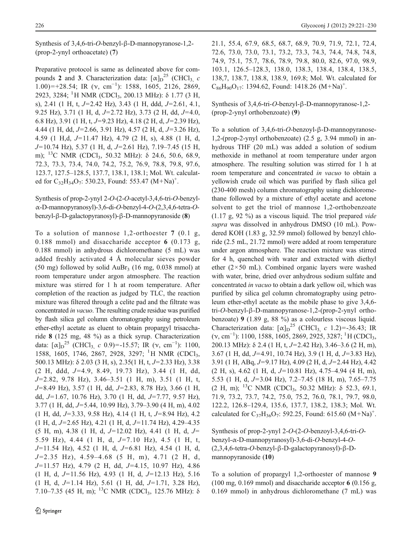Synthesis of 3,4,6-tri-O-benzyl-β-D-mannopyranose-1,2- (prop-2-ynyl orthoacetate) (7)

Preparative protocol is same as delineated above for compounds 2 and 3. Characterization data:  $[\alpha]_D^2$ <sup>5</sup> (CHCl<sub>3, *c*</sub>  $(1.00)=+28.54$ ; IR (v, cm<sup>-1</sup>): 1588, 1605, 2126, 2869, 2923, 3284; <sup>1</sup>H NMR (CDCl<sub>3</sub>, 200.13 MHz): δ 1.77 (3 H, s), 2.41 (1 H, t,  $J=2.42$  Hz), 3.43 (1 H, ddd,  $J=2.61$ , 4.1, 9.25 Hz), 3.71 (1 H, d,  $J=2.72$  Hz), 3.73 (2 H, dd,  $J=4.0$ , 6.8 Hz), 3.91 (1 H, t,  $J=9.23$  Hz), 4.18 (2 H, d,  $J=2.39$  Hz), 4.44 (1 H, dd,  $J=2.66$ , 3.91 Hz), 4.57 (2 H, d,  $J=3.26$  Hz), 4.59 (1 H,d,  $J=11.47$  Hz), 4.79 (2 H, s), 4.88 (1 H, d,  $J=10.74$  Hz), 5.37 (1 H, d,  $J=2.61$  Hz), 7.19–7.45 (15 H, m); <sup>13</sup>C NMR (CDCl<sub>3</sub>, 50.32 MHz):  $\delta$  24.6, 50.6, 68.9, 72.3, 73.3, 73.4, 74.0, 74.2, 75.2, 76.9, 78.8, 79.8, 97.6, 123.7, 127.5–128.5, 137.7, 138.1, 138.1; Mol. Wt. calculated for C<sub>32</sub>H<sub>34</sub>O<sub>7</sub>: 530.23, Found: 553.47 (M+Na)<sup>+</sup>.

Synthesis of prop-2-ynyl 2-O-(2-O-acetyl-3,4,6-tri-O-benzylα-D-mannopyranosyl)-3,6-di-O-benzyl-4-O-(2,3,4,6-tetra-Obenzyl-β-D-galactopyranosyl)-β-D-mannopyranoside (8)

To a solution of mannose 1,2-orthoester 7 (0.1 g, 0.188 mmol) and disaccharide acceptor 6 (0.173 g, 0.188 mmol) in anhydrous dichloromethane (5 mL) was added freshly activated 4 Å molecular sieves powder (50 mg) followed by solid AuBr<sub>3</sub> (16 mg, 0.038 mmol) at room temperature under argon atmosphere. The reaction mixture was stirred for 1 h at room temperature. After completion of the reaction as judged by TLC, the reaction mixture was filtered through a celite pad and the filtrate was concentrated in vacuo. The resulting crude residue was purified by flash silica gel column chromatography using petroleum ether-ethyl acetate as eluent to obtain propargyl trisaccharide 8 (125 mg, 48 %) as a thick syrup. Characterization data:  $[\alpha]_D^{25}$  (CHCl<sub>3, c</sub> 0.9)=-15.57; IR ( $\nu$ , cm<sup>-1</sup>): 1100, 1588, 1605, 1746, 2867, 2928, 3297; <sup>1</sup>H NMR (CDCl<sub>3</sub>, 500.13 MHz):  $\delta$  2.03 (3 H, s), 2.35(1 H, t, J=2.33 Hz), 3.38  $(2 \text{ H}, \text{ ddd}, J=4.9, 8.49, 19.73 \text{ Hz}), 3.44 (1 \text{ H}, \text{ dd},$  $J=2.82$ , 9.78 Hz), 3.46-3.51 (1 H, m), 3.51 (1 H, t,  $J=8.49$  Hz), 3.57 (1 H, dd,  $J=2.83$ , 8.78 Hz), 3.66 (1 H, dd,  $J=1.67$ , 10.76 Hz), 3.70 (1 H, dd,  $J=7.77$ , 9.57 Hz),  $3.77$  (1 H, dd,  $J=5.44$ , 10.99 Hz),  $3.79-3.90$  (4 H, m), 4.02  $(1 \text{ H}, \text{ dd}, J=3.33, 9.58 \text{ Hz})$ , 4.14  $(1 \text{ H}, \text{ t}, J=8.94 \text{ Hz})$ , 4.2  $(1 \text{ H}, \text{ d}, J=2.65 \text{ Hz})$ , 4.21 (1 H, d,  $J=11.74 \text{ Hz}$ ), 4.29–4.35  $(5 H, m)$ , 4.38 (1 H, d, J=12.02 Hz), 4.41 (1 H, d, J= 5.59 Hz), 4.44 (1 H, d,  $J=7.10$  Hz), 4.5 (1 H, t,  $J=11.54$  Hz), 4.52 (1 H, d,  $J=6.81$  Hz), 4.54 (1 H, d,  $J=2.35$  Hz),  $4.59-4.68$  (5 H, m),  $4.71$  (2 H, d,  $J=11.57$  Hz), 4.79 (2 H, dd,  $J=4.15$ , 10.97 Hz), 4.86  $(1 \text{ H}, \text{ d}, J=11.56 \text{ Hz})$ , 4.93  $(1 \text{ H}, \text{ d}, J=12.13 \text{ Hz})$ , 5.16  $(1 \text{ H}, \text{ d}, J=1.14 \text{ Hz})$ , 5.61 (1 H, dd,  $J=1.71$ , 3.28 Hz), 7.10–7.35 (45 H, m); <sup>13</sup>C NMR (CDCl<sub>3</sub>, 125.76 MHz):  $\delta$  21.1, 55.4, 67.9, 68.5, 68.7, 68.9, 70.9, 71.9, 72.1, 72.4, 72.6, 73.0, 73.0, 73.1, 73.2, 73.3, 74.3, 74.4, 74.8, 74.8, 74.9, 75.1, 75.7, 78.6, 78.9, 79.8, 80.0, 82.6, 97.0, 98.9, 103.1, 126.5–128.3, 138.0, 138.3, 138.4, 138.4, 138.5, 138,7, 138.7, 138.8, 138.9, 169.8; Mol. Wt. calculated for  $C_{86}H_{90}O_{17}$ : 1394.62, Found: 1418.26 (M+Na)<sup>+</sup>.

Synthesis of 3,4,6-tri-O-benzyl-β-D-mannopyranose-1,2- (prop-2-ynyl orthobenzoate) (9)

To a solution of 3,4,6-tri-O-benzoyl-β-D-mannopyranose-1,2-(prop-2-ynyl orthobenzoate) (2.5 g, 3.94 mmol) in anhydrous THF (20 mL) was added a solution of sodium methoxide in methanol at room temperature under argon atmosphere. The resulting solution was stirred for 1 h at room temperature and concentrated in vacuo to obtain a yellowish crude oil which was purified by flash silica gel (230-400 mesh) column chromatography using dichloromethane followed by a mixture of ethyl acetate and acetone solvent to get the triol of mannose 1,2-orthobenzoate  $(1.17 \text{ g}, 92 \text{ %})$  as a viscous liquid. The triol prepared vide supra was dissolved in anhydrous DMSO (10 mL). Powdered KOH (1.83 g, 32.59 mmol) followed by benzyl chloride (2.5 mL, 21.72 mmol) were added at room temperature under argon atmosphere. The reaction mixture was stirred for 4 h, quenched with water and extracted with diethyl ether  $(2 \times 50$  mL). Combined organic layers were washed with water, brine, dried over anhydrous sodium sulfate and concentrated in vacuo to obtain a dark yellow oil, which was purified by silica gel column chromatography using petroleum ether-ethyl acetate as the mobile phase to give 3,4,6 tri-O-benzyl-β-D-mannopyranose-1,2-(prop-2-ynyl orthobenzoate) 9 (1.89 g, 88 %) as a colourless viscous liquid. Characterization data:  $[\alpha]_{D}^{25}$  (CHCl<sub>3, c</sub> 1.2)=-36.43; IR  $(v, cm^{-1})$ : 1100, 1588, 1605, 2869, 2925, 3287; <sup>1</sup>H (CDCl<sub>3</sub>, 200.13 MHz):  $\delta$  2.4 (1 H, t, J=2.42 Hz), 3.46–3.6 (2 H, m), 3.67 (1 H, dd,  $J=4.91$ , 10.74 Hz), 3.9 (1 H, d,  $J=3.83$  Hz), 3.91 (1 H, ABq,  $J=9.17$  Hz), 4.09 (2 H, d,  $J=2.44$  Hz), 4.42  $(2 \text{ H, s}), 4.62 \text{ (1 H, d, } J=10.81 \text{ Hz}), 4.75-4.94 \text{ (4 H, m)},$ 5.53 (1 H, d,  $J=3.04$  Hz), 7.2–7.45 (18 H, m), 7.65–7.75 (2 H, m); <sup>13</sup>C NMR (CDCl<sub>3</sub>, 50.32 MHz):  $\delta$  52.3, 69.1, 71.9, 73.2, 73.7, 74.2, 75.0, 75.2, 76.0, 78.1, 79.7, 98.0, 122.2, 126.8–129.4, 135.6, 137.7, 138.2, 138.3; Mol. Wt. calculated for C<sub>37</sub>H<sub>36</sub>O<sub>7</sub>: 592.25, Found: 615.60 (M+Na)<sup>+</sup>.

Synthesis of prop-2-ynyl 2-O-(2-O-benzoyl-3,4,6-tri-Obenzyl-α-D-mannopyranosyl)-3,6-di-O-benzyl-4-O- (2,3,4,6-tetra-O-benzyl-β-D-galactopyranosyl)-β-Dmannopyranoside (10)

To a solution of propargyl 1,2-orthoester of mannose 9 (100 mg, 0.169 mmol) and disaccharide acceptor 6 (0.156 g, 0.169 mmol) in anhydrous dichloromethane (7 mL) was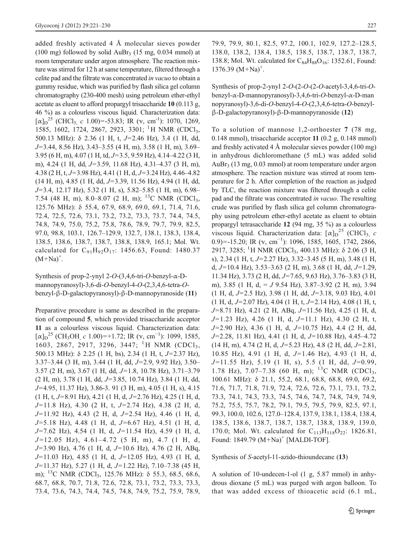added freshly activated 4 Å molecular sieves powder (100 mg) followed by solid AuBr<sub>3</sub> (15 mg, 0.034 mmol) at room temperature under argon atmosphere. The reaction mixture was stirred for 12 h at same temperature, filtered through a celite pad and the filtrate was concentrated in vacuo to obtain a gummy residue, which was purified by flash silica gel column chromatography (230-400 mesh) using petroleum ether-ethyl acetate as eluent to afford propargyl trisaccharide 10 (0.113 g, 46 %) as a colourless viscous liquid. Characterization data:  $[\alpha]_{D}^{25}$  (CHCl<sub>3, c</sub> 1.00)=-53.83; IR (v, cm<sup>-1</sup>): 1070, 1269, 1585, 1602, 1724, 2867, 2923, 3301; <sup>1</sup>H NMR (CDCl<sub>3</sub>, 500.13 MHz):  $\delta$  2.36 (1 H, t, J=2.46 Hz), 3.4 (1 H, dd,  $J=3.44$ , 8.56 Hz), 3.43–3.55 (4 H, m), 3.58 (1 H, m), 3.69– 3.95 (6 H, m), 4.07 (1 H, td,  $J=3.5$ , 9.59 Hz), 4.14–4.22 (3 H, m), 4.24 (1 H, dd,  $J=3.59$ , 11.68 Hz), 4.31–4.37 (3 H, m), 4.38 (2 H, t,  $J=3.98$  Hz), 4.41 (1 H, d,  $J=3.24$  Hz), 4.46–4.82  $(14 \text{ H}, \text{m})$ , 4.85 (1 H, dd, J=3.39, 11.56 Hz), 4.94 (1 H, dd,  $J=3.4$ , 12.17 Hz), 5.32 (1 H, s), 5.82–5.85 (1 H, m), 6.98– 7.54 (48 H, m), 8.0–8.07 (2 H, m); <sup>13</sup>C NMR (CDCl<sub>3</sub>, 125.76 MHz): δ 55.4, 67.9, 68.9, 69.0, 69.1, 71.4, 71.6, 72.4, 72.5, 72.6, 73.1, 73.2, 73.2, 73.3, 73.7, 74.4, 74.5, 74.8, 74.9, 75.0, 75.2, 75.8, 78.6, 78.9, 79.7, 79.9, 82.5, 97.0, 98.8, 103.1, 126.7–129.9, 132.7, 138.1, 138.3, 138.4, 138.5, 138.6, 138.7, 138.7, 138.8, 138.9, 165.1; Mol. Wt. calculated for  $C_{91}H_{92}O_{17}$ : 1456.63, Found: 1480.37  $(M+Na)^+$ .

Synthesis of prop-2-ynyl  $2-O-(3,4,6-tri-O-benzyl-\alpha-D$ mannopyranosyl)-3,6-di-O-benzyl-4-O-(2,3,4,6-tetra-Obenzyl-β-D-galactopyranosyl)-β-D-mannopyranoside (11)

Preparative procedure is same as described in the preparation of compound 5, which provided trisaccharide acceptor 11 as a colourless viscous liquid. Characterization data:  $[\alpha]_{\text{D}}^{25}$  (CH<sub>3</sub>OH, c 1.00)=+1.72; IR (v, cm<sup>-1</sup>): 1099, 1585, 1603, 2867, 2917, 3296, 3447; <sup>1</sup>H NMR (CDCl<sub>3</sub>, 500.13 MHz):  $\delta$  2.25 (1 H, bs), 2.34 (1 H, t, J=2.37 Hz),  $3.37-3.44$  (3 H, m),  $3.44$  (1 H, dd,  $J=2.9$ ,  $9.92$  Hz),  $3.50 3.57$  (2 H, m),  $3.67$  (1 H, dd,  $J=1.8$ , 10.78 Hz),  $3.71-3.79$  $(2 H, m)$ , 3.78 (1 H, dd, J=3.85, 10.74 Hz), 3.84 (1 H, dd, J=4.95, 11.37 Hz), 3.86-3. 91 (3 H, m), 4.05 (1 H, s), 4.15  $(1 \text{ H}, \text{ t}, \text{ J}=8.91 \text{ Hz})$ , 4.21 (1 H, d,  $\text{ J}=2.76 \text{ Hz}$ ), 4.25 (1 H, d,  $J=11.8$  Hz), 4.30 (2 H, t,  $J=2.74$  Hz), 4.38 (2 H, d,  $J=11.92$  Hz), 4.43 (2 H, d,  $J=2.54$  Hz), 4.46 (1 H, d,  $J=5.18$  Hz), 4.48 (1 H, d,  $J=6.67$  Hz), 4.51 (1 H, d,  $J=7.62$  Hz), 4.54 (1 H, d,  $J=11.54$  Hz), 4.59 (1 H, d,  $J=12.05$  Hz), 4.61-4.72 (5 H, m), 4.7 (1 H, d,  $J=3.90$  Hz), 4.76 (1 H, d,  $J=10.6$  Hz), 4.76 (2 H, ABq,  $J=11.03$  Hz), 4.85 (1 H, d,  $J=12.05$  Hz), 4.93 (1 H, d,  $J=11.37$  Hz), 5.27 (1 H, d,  $J=1.22$  Hz), 7.10–7.38 (45 H, m); <sup>13</sup>C NMR (CDCl<sub>3</sub>, 125.76 MHz): δ 55.3, 68.5, 68.6, 68.7, 68.8, 70.7, 71.8, 72.6, 72.8, 73.1, 73.2, 73.3, 73.3, 73.4, 73.6, 74.3, 74.4, 74.5, 74.8, 74.9, 75.2, 75.9, 78.9, 79.9, 79.9, 80.1, 82.5, 97.2, 100.1, 102.9, 127.2–128.5, 138.0, 138.2, 138.4, 138.5, 138.5, 138.7, 138.7, 138.7, 138.8; Mol. Wt. calculated for  $C_{84}H_{88}O_{16}$ : 1352.61, Found:  $1376.39 (M+Na)^+$ .

Synthesis of prop-2-ynyl 2-O-(2-O-(2-O-acetyl-3,4,6-tri-Obenzyl-α-D-mannopyranosyl)-3,4,6-tri-O-benzyl-α-D-man nopyranosyl)-3,6-di-O-benzyl-4-O-(2,3,4,6-tetra-O-benzylβ-D-galactopyranosyl)-β-D-mannopyranoside (12)

To a solution of mannose 1,2-orthoester 7 (78 mg, 0.148 mmol), trisaccharide acceptor 11 (0.2 g, 0.148 mmol) and freshly activated 4 Å molecular sieves powder (100 mg) in anhydrous dichloromethane (5 mL) was added solid AuBr3 (13 mg, 0.03 mmol) at room temperature under argon atmosphere. The reaction mixture was stirred at room temperature for 2 h. After completion of the reaction as judged by TLC, the reaction mixture was filtered through a celite pad and the filtrate was concentrated in vacuo. The resulting crude was purified by flash silica gel column chromatography using petroleum ether-ethyl acetate as eluent to obtain propargyl tetrasaccharide 12 (94 mg, 35 %) as a colourless viscous liquid. Characterization data:  $[\alpha]_D^{25}$  (CHCl<sub>3, *c*</sub> 0.9)=-15.20; IR  $(v, cm^{-1})$ : 1096, 1585, 1605, 1742, 2866, 2917, 3285; <sup>1</sup>H NMR (CDCl<sub>3</sub>, 400.13 MHz): δ 2.06 (3 H, s), 2.34 (1 H, t,  $J=2.27$  Hz), 3.32–3.45 (5 H, m), 3.48 (1 H, d,  $J=10.4$  Hz), 3.53–3.63 (2 H, m), 3.68 (1 H, dd,  $J=1.29$ , 11.34 Hz), 3.73 (2 H, dd,  $J=7.65$ , 9.63 Hz), 3.76–3.83 (3 H, m), 3.85 (1 H, d, =  $J$  9.54 Hz), 3.87–3.92 (2 H, m), 3.94  $(1 \text{ H}, \text{ d}, J=2.5 \text{ Hz})$ , 3.98 (1 H, dd,  $J=3.18$ , 9.03 Hz), 4.01  $(1 H, d, J=2.07 Hz)$ , 4.04  $(1 H, t, J=2.14 Hz)$ , 4.08  $(1 H, t, J=2.14 Hz)$  $J=8.71$  Hz), 4.21 (2 H, ABq,  $J=11.56$  Hz), 4.25 (1 H, d,  $J=1.23$  Hz), 4.26 (1 H, d,  $J=11.1$  Hz), 4.30 (2 H, t,  $J=2.90$  Hz), 4.36 (1 H, d,  $J=10.75$  Hz), 4.4 (2 H, dd,  $J=2.28$ , 11.81 Hz), 4.41 (1 H, d,  $J=10.88$  Hz), 4.45–4.72  $(14 \text{ H}, \text{m})$ , 4.74  $(2 \text{ H}, \text{ d}, J=5.23 \text{ Hz})$ , 4.8  $(2 \text{ H}, \text{ d}, J=2.81,$ 10.85 Hz), 4.91 (1 H, d,  $J=1.46$  Hz), 4.93 (1 H, d,  $J=11.55$  Hz), 5.19 (1 H, s), 5.5 (1 H, dd,  $J=0.99$ , 1.78 Hz), 7.07–7.38 (60 H, m); <sup>13</sup>C NMR (CDCl<sub>3</sub>, 100.61 MHz): δ 21.1, 55.2, 68.1, 68.8, 68.8, 69.0, 69.2, 71.6, 71.7, 71.8, 71.9, 72.4, 72.6, 72.6, 73.1, 73.1, 73.2, 73.3, 74.1, 74.3, 73.3, 74.5, 74.6, 74.7, 74.8, 74.9, 74.9, 75.2, 75.5, 75.7, 78.2, 79.1, 79.5, 79.5, 79.9, 82.5, 97.1, 99.3, 100.0, 102.6, 127.0–128.4, 137.9, 138.1, 138.4, 138.4, 138.5, 138.6, 138.7, 138.7, 138.7, 138.8, 138.9, 139.0, 170.0; Mol. Wt. calculated for  $C_{113}H_{118}O_{22}$ : 1826.81, Found:  $1849.79 (M+Na)^+$  [MALDI-TOF].

Synthesis of S-acetyl-11-azido-thioundecane (13)

A solution of 10-undecen-1-ol (1 g, 5.87 mmol) in anhydrous dioxane (5 mL) was purged with argon balloon. To that was added excess of thioacetic acid (6.1 mL,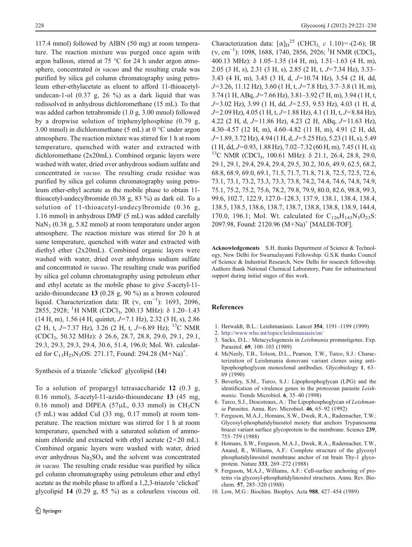<span id="page-7-0"></span>117.4 mmol) followed by AIBN (50 mg) at room temperature. The reaction mixture was purged once again with argon balloon, stirred at 75 °C for 24 h under argon atmosphere, concentrated *in vacuo* and the resulting crude was purified by silica gel column chromatography using petroleum ether-ethylacetate as eluent to afford 11-thioacetylundecan-1-ol  $(0.37 \text{ g}, 26 \text{ %})$  as a dark liquid that was redissolved in anhydrous dichloromethane (15 mL). To that was added carbon tetrabromide (1.0 g, 3.00 mmol) followed by a dropwise solution of triphenylphosphine (0.79 g, 3.00 mmol) in dichloromethane (5 mL) at 0 °C under argon atmosphere. The reaction mixture was stirred for 1 h at room temperature, quenched with water and extracted with dichloromethane (2x20mL). Combined organic layers were washed with water, dried over anhydrous sodium sulfate and concentrated in vacuo. The resulting crude residue was purified by silica gel column chromatography using petroleum ether-ethyl acetate as the mobile phase to obtain 11 thioacetyl-undecylbromide (0.38 g, 83 %) as dark oil. To a solution of 11-thioacetyl-undecylbromide (0.36 g, 1.16 mmol) in anhydrous DMF (5 mL) was added carefully NaN<sub>3</sub> (0.38 g, 5.82 mmol) at room temperature under argon atmosphere. The reaction mixture was stirred for 20 h at same temperature, quenched with water and extracted with diethyl ether (2x20mL). Combined organic layers were washed with water, dried over anhydrous sodium sulfate and concentrated in vacuo. The resulting crude was purified by silica gel column chromatography using petroleum ether and ethyl acetate as the mobile phase to give S-acetyl-11 azido-thioundecane 13 (0.28 g, 90 %) as a brown coloured liquid. Characterization data: IR ( $v$ , cm<sup>-1</sup>): 1693, 2096, 2855, 2928; <sup>1</sup>H NMR (CDCl<sub>3</sub>, 200.13 MHz): δ 1.20–1.43  $(14 \text{ H}, \text{m})$ , 1.56 (4 H, quintet, J=7.1 Hz), 2.32 (3 H, s), 2.86 (2 H, t, J=7.37 Hz), 3.26 (2 H, t, J=6.89 Hz); <sup>13</sup>C NMR (CDCl3, 50.32 MHz): δ 26.6, 28.7, 28.8, 29.0, 29.1, 29.1, 29.3, 29.3, 29.3, 29.4, 30.6, 51.4, 196.0; Mol. Wt. calculated for C<sub>13</sub>H<sub>25</sub>N<sub>3</sub>OS: 271.17, Found: 294.28  $(M+Na)^+$ .

Synthesis of a triazole 'clicked' glycolipid (14)

To a solution of propargyl tetrasaccharide 12 (0.3 g, 0.16 mmol), S-acetyl-11-azido-thioundecane 13 (45 mg, 0.16 mmol) and DIPEA ( $57\mu$ L, 0.33 mmol) in CH<sub>3</sub>CN (5 mL) was added CuI (33 mg, 0.17 mmol) at room temperature. The reaction mixture was stirred for 1 h at room temperature, quenched with a saturated solution of ammonium chloride and extracted with ethyl acetate  $(2 \times 20 \text{ mL})$ . Combined organic layers were washed with water, dried over anhydrous  $Na<sub>2</sub>SO<sub>4</sub>$  and the solvent was concentrated in vacuo. The resulting crude residue was purified by silica gel column chromatography using petroleum ether and ethyl acetate as the mobile phase to afford a 1,2,3-triazole 'clicked' glycolipid 14 (0.29 g, 85 %) as a colourless viscous oil.

Characterization data:  $[\alpha]_D^{25}$  (CHCl<sub>3, c</sub> 1.10)=-(2-6); IR (v, cm<sup>-1</sup>): 1098, 1688, 1740, 2856, 2926; <sup>1</sup>H NMR (CDCl<sub>3</sub>, 400.13 MHz): δ 1.05–1.35 (14 H, m), 1.51–1.63 (4 H, m), 2.05 (3 H, s), 2.31 (3 H, s), 2.85 (2 H, t,  $J=7.34$  Hz), 3.33– 3.43 (4 H, m), 3.45 (3 H, d,  $J=10.74$  Hz), 3.54 (2 H, dd,  $J=3.26$ , 11.12 Hz), 3.60 (1 H, t,  $J=7.8$  Hz), 3.7–3.8 (1 H, m),  $3.74$  (1 H, ABq, J=7.66 Hz),  $3.81-3.92$  (7 H, m),  $3.94$  (1 H, t,  $J=3.02$  Hz), 3.99 (1 H, dd,  $J=2.53$ , 9.53 Hz), 4.03 (1 H, d,  $J=2.09$  Hz), 4.05 (1 H, t,  $J=1.88$  Hz), 4.1 (1 H, t,  $J=8.84$  Hz), 4.22 (2 H, d,  $J=11.86$  Hz), 4.23 (2 H, ABq,  $J=11.63$  Hz), 4.30–4.57 (12 H, m), 4.60–4.82 (11 H, m), 4.91 (2 H, dd,  $J=1.89, 3.72$  Hz), 4.94 (1 H, d,  $J=5.25$  Hz), 5.23 (1 H, s), 5.49  $(1 \text{ H}, \text{dd}, \text{J}=0.93, 1.88 \text{ Hz}), 7.02-7.32 \text{ (60 H, m)}, 7.45 \text{ (1 H, s)}$ ; <sup>13</sup>C NMR (CDCl<sub>3</sub>, 100.61 MHz): δ 21.1, 26.4, 28.8, 29.0, 29.1, 29.1, 29.4, 29.4, 29.4, 29.5, 30.2, 30.6, 49.9, 62.5, 68.2, 68.8, 68.9, 69.0, 69.1, 71.5, 71.7, 71.8, 71.8, 72.5, 72.5, 72.6, 73.1, 73.1, 73.2, 73.3, 73.3, 73.8, 74.2, 74.4, 74.6, 74.8, 74.9, 75.1, 75.2, 75.2, 75.6, 78.2, 79.8, 79.9, 80.0, 82.6, 98.8, 99.3, 99.6, 102.7, 122.9, 127.0–128.3, 137.9, 138.1, 138.4, 138.4, 138.5, 138.5, 138.6, 138.7, 138.7, 138.8, 138.8, 138.9, 144.4, 170.0, 196.1; Mol. Wt. calculated for  $C_{126}H_{143}N_3O_{23}S$ : 2097.98, Found: 2120.96 (M+Na)<sup>+</sup> [MALDI-TOF].

Acknowledgements S.H. thanks Department of Science & Technology, New Delhi for SwarnaJayanti Fellowship. G.S.K thanks Council of Science & Industrial Research, New Delhi for research fellowship. Authors thank National Chemical Laboratory, Pune for infrastructural support during initial stages of this work.

## References

- 1. Herwaldt, B.L.: Leishmaniasis. Lancet 354, 1191–1199 (1999)
- 2. <http://www.who.int/topics/leishmaniasis/en/>
- 3. Sacks, D.L.: Metacyclogenesis in Leishmania promastigotes. Exp. Parasitol. 69, 100–103 (1989)
- 4. McNeely, T.B., Tolson, D.L., Pearson, T.W., Turco, S.J.: Characterization of Leishmania donovani variant clones using antilipophosphoglycan monoclonal antibodies. Glycobiology 1, 63– 69 (1990)
- 5. Beverley, S.M., Turco, S.J.: Lipophosphoglycan (LPG) and the identification of virulence genes in the protozoan parasite Leishmania. Trends Microbiol. 6, 35–40 (1998)
- 6. Turco, S.J., Descoteaux, A.: The Lipophosphoglycan of Leishmania Parasites. Annu. Rev. Microbiol. 46, 65–92 (1992)
- 7. Ferguson, M.A.J., Homans, S.W., Dwek, R.A., Rademacher, T.W.: Glycosyl-phosphatidylinositol moiety that anchors Trypanosoma brucei variant surface glycoprotein to the membrane. Science 239, 753–759 (1988)
- 8. Homans, S.W., Ferguson, M.A.J., Dwek, R.A., Rademacher, T.W., Anand, R., Williams, A.F.: Complete structure of the glycosyl phosphatidylinositol membrane anchor of rat brain Thy-1 glycoprotein. Nature 333, 269–272 (1988)
- 9. Ferguson, M.A.J., Williams, A.F.: Cell-surface anchoring of proteins via glycosyl-phosphatidylinositol structures. Annu. Rev. Biochem. 57, 285–320 (1988)
- 10. Low, M.G.: Biochim. Biophys. Acta 988, 427–454 (1989)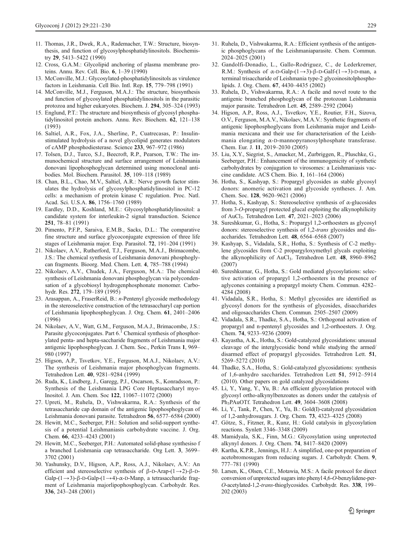- <span id="page-8-0"></span>11. Thomas, J.R., Dwek, R.A., Rademacher, T.W.: Structure, biosynthesis, and function of glycosylphosphatidylinositols. Biochemistry 29, 5413–5422 (1990)
- 12. Cross, G.A.M.: Glycolipid anchoring of plasma membrane proteins. Annu. Rev. Cell. Bio. 6, 1–39 (1990)
- 13. McConville, M.J.: Glycosylated-phosphatidylinositols as virulence factors in Leishmania. Cell Bio. Intl. Rep. 15, 779–798 (1991)
- 14. McConville, M.J., Ferguson, M.A.J.: The structure, biosynthesis and function of glycosylated phosphatidylinositols in the parasitic protozoa and higher eukaryotes. Biochem. J. 294, 305–324 (1993)
- 15. Englund, P.T.: The structure and biosynthesis of glycosyl phosphatidylinositol protein anchors. Annu. Rev. Biochem. 62, 121–138 (1993)
- 16. Saltiel, A.R., Fox, J.A., Sherline, P., Cuatrecasas, P.: Insulinstimulated hydrolysis of a novel glycolipid generates modulators of cAMP phosphodiesterase. Science 233, 967–972 (1986)
- 17. Tolsen, D.J., Turco, S.J., Beecroft, R.P., Pearson, T.W.: The immunochemical structure and surface arrangement of Leishmania donovani lipophosphoglycan determined using monoclonal antibodies. Mol. Biochem. Parasitol. 35, 109–118 (1989)
- 18. Chan, B.L., Chao, M.V., Saltiel, A.R.: Nerve growth factor stimulates the hydrolysis of glycosylphosphatidylinositol in PC-12 cells: a mechanism of protein kinase C regulation. Proc. Natl. Acad. Sci. U.S.A. 86, 1756–1760 (1989)
- 19. Eardley, D.D., Koshland, M.E.: Glycosylphosphatidylinositol: a candidate system for interleukin-2 signal transduction. Science 251, 78–81 (1991)
- 20. Pimento, P.F.P., Saraiva, E.M.B., Sacks, D.L.: The comparative fine structure and surface glycoconjugate expression of three life stages of Leishmania major. Exp. Parasitol. 72, 191–204 (1991)
- 21. Nikolaev, A.V., Rutherford, T.J., Ferguson, M.A.J., Brimacombe, J.S.: The chemical synthesis of Leishmania donovani phosphoglycan fragments. Bioorg. Med. Chem. Lett. 4, 785–788 (1994)
- 22. Nikolaev, A.V., Chudek, J.A., Ferguson, M.A.: The chemical synthesis of Leishmania donovani phosphoglycan via polycondensation of a glycobiosyl hydrogenphosphonate monomer. Carbohydr. Res. 272, 179–189 (1995)
- 23. Arasappan, A., FraserReid, B.: n-Pentenyl glycoside methodology in the stereoselective construction of the tetrasaccharyl cap portion of Leishmania lipophosphoglycan. J. Org. Chem. 61, 2401–2406 (1996)
- 24. Nikolaev, A.V., Watt, G.M., Ferguson, M.A.J., Brimacombe, J.S.: Parasite glycoconjugates. Part  $6<sup>1</sup>$  Chemical synthesis of phosphorylated penta- and hepta-saccharide fragments of Leishmania major antigenic lipophosphoglycan. J. Chem. Soc., Perkin Trans 1, 969– 980 (1997)
- 25. Higson, A.P., Tsvetkov, Y.E., Ferguson, M.A.J., Nikolaev, A.V.: The synthesis of Leishmania major phosphoglycan fragments. Tetrahedron Lett. 40, 9281–9284 (1999)
- 26. Ruda, K., Lindberg, J., Garegg, P.J., Oscarson, S., Konradsson, P.: Synthesis of the Leishmania LPG Core Heptasaccharyl myo-Inositol. J. Am. Chem. Soc 122, 11067–11072 (2000)
- 27. Upreti, M., Ruhela, D., Vishwakarma, R.A.: Synthesis of the tetrasaccharide cap domain of the antigenic lipophosphoglycan of Leishmania donovani parasite. Tetrahedron 56, 6577–6584 (2000)
- 28. Hewitt, M.C., Seeberger, P.H.: Solution and solid-support synthesis of a potential Leishmaniasis carbohydrate vaccine. J. Org. Chem. 66, 4233–4243 (2001)
- 29. Hewitt, M.C., Seeberger, P.H.: Automated solid-phase synthesiso f a branched Leishmania cap tetrasaccharide. Org Lett. 3, 3699– 3702 (2001)
- 30. Yashunsky, D.V., Higson, A.P., Ross, A.J., Nikolaev, A.V.: An efficient and stereoselective synthesis of  $\beta$ -D-Arap-(1→2)- $\beta$ -D-Galp- $(1\rightarrow 3)$ -β-D-Galp- $(1\rightarrow 4)$ -α-D-Manp, a tetrasaccharide fragment of Leishmania majorlipophosphoglycan. Carbohydr. Res. 336, 243–248 (2001)
- 31. Ruhela, D., Vishwakarma, R.A.: Efficient synthesis of the antigenic phosphoglycans of the Leishmaniaparasite. Chem. Commun. 2024–2025 (2001)
- 32. Gandolfi-Donadio, L., Gallo-Rodriguez, C., de Lederkremer, R.M.: Synthesis of  $\alpha$ -D-Galp-(1→3)-β-D-Galf-(1→3)-D-man, a terminal trisaccharide of Leishmania type-2 glycoinositolphospholipids. J. Org. Chem. 67, 4430–4435 (2002)
- 33. Ruhela, D., Vishwakarma, R.A.: A facile and novel route to the antigenic branched phosphoglycan of the protozoan Leishmania major parasite. Tetrahedron Lett. 45, 2589–2592 (2004)
- 34. Higson, A.P., Ross, A.J., Tsvetkov, Y.E., Routier, F.H., Sizova, O.V., Ferguson, M.A.V., Nikolaev, M.A.V.: Synthetic fragments of antigenic lipophosphoglycans from Leishmania major and Leishmania mexicana and their use for characterisation of the Leishmania elongating α-D-mannopyranosylphosphate transferase. Chem. Eur. J. 11, 2019–2030 (2005)
- 35. Liu, X.Y., Siegrist, S., Amacker, M., Zurbriggen, R., Pluschke, G., Seeberger, P.H.: Enhancement of the immunogenicity of synthetic carbohydrates by conjugation to virosomes: a Leishmaniasis vaccine candidate. ACS Chem. Bio. 1, 161–164 (2006)
- 36. Hotha, S., Kashyap, S.: Propargyl glycosides as stable glycosyl donors: anomeric activation and glycoside syntheses. J. Am. Chem. Soc. 128, 9620–9621 (2006)
- 37. Hotha, S., Kashyap, S.: Stereoselective synthesis of  $\alpha$ -glucosides from 3-O-propargyl protected glucal exploiting the alkynophilicity of AuCl3. Tetrahedron Lett. 47, 2021–2023 (2006)
- 38. Sureshkumar, G., Hotha, S.: Propargyl 1,2-orthoesters as glycosyl donors: stereoselective synthesis of 1,2-trans glycosides and disaccharides. Tetrahedron Lett. 48, 6564–6568 (2007)
- 39. Kashyap, S., Vidadala, S.R., Hotha, S.: Synthesis of C-2 methylene glycosides from C-2 propargyloxymethyl glycals exploiting the alkynophilicity of AuCl<sub>3</sub>. Tetrahedron Lett. 48, 8960-8962 (2007)
- 40. Sureshkumar, G., Hotha, S.: Gold mediated glycosylations: selective activation of propargyl 1,2-orthoesters in the presence of aglycones containing a propargyl moiety Chem. Commun. 4282– 4284 (2008)
- 41. Vidadala, S.R., Hotha, S.: Methyl glycosides are identified as glycosyl donors for the synthesis of glycosides, disaccharides and oligosaccharides Chem. Commun. 2505–2507 (2009)
- 42. Vidadala, S.R., Thadke, S.A., Hotha, S.: Orthogonal activation of propargyl and n-pentenyl glycosides and 1,2-orthoesters. J. Org. Chem. 74, 9233–9236 (2009)
- 43. Kayastha, A.K., Hotha, S.: Gold-catalyzed glycosidations: unusual cleavage of the interglycosidic bond while studying the armed/ disarmed effect of propargyl glycosides. Tetrahedron Lett. 51, 5269–5272 (2010)
- 44. Thadke, S.A., Hotha, S.: Gold-catalyzed glycosidations: synthesis of 1,6-anhydro saccharides. Tetrahedron Lett 51, 5912–5914 (2010). Other papers on gold catalyzed glycosidations
- 45. Li, Y., Yang, Y., Yu, B.: An efficient glycosylation protocol with glycosyl ortho-alkynylbenzoates as donors under the catalysis of Ph3PAuOTf. Tetrahedron Lett. 49, 3604–3608 (2008)
- 46. Li, Y., Tank, P., Chen, Y., Yu, B.: Gold(I)-catalyzed glycosidation of 1,2-anhydrosugars. J. Org. Chem. 73, 4323–4325 (2008)
- 47. Götze, S., Fitzner, R., Kunz, H.: Gold catalysis in glycosylation reactions. Synlett 3346–3348 (2009)
- 48. Mamidyala, S.K., Finn, M.G.: Glycosylation using unprotected alkynyl donors. J. Org. Chem. 74, 8417–8420 (2009)
- 49. Kartha, K.P.R., Jennings, H.J.: A simplified, one-pot preparation of acetobromosugars from reducing sugars. J. Carbohydr. Chem. 9, 777–781 (1990)
- 50. Larsen, K., Olsen, C.E., Motawia, M.S.: A facile protocol for direct conversion of unprotected sugars into phenyl 4,6-O-benzylidene-per-O-acetylated-1,2-trans-thioglycosides. Carbohydr. Res. 338, 199– 202 (2003)